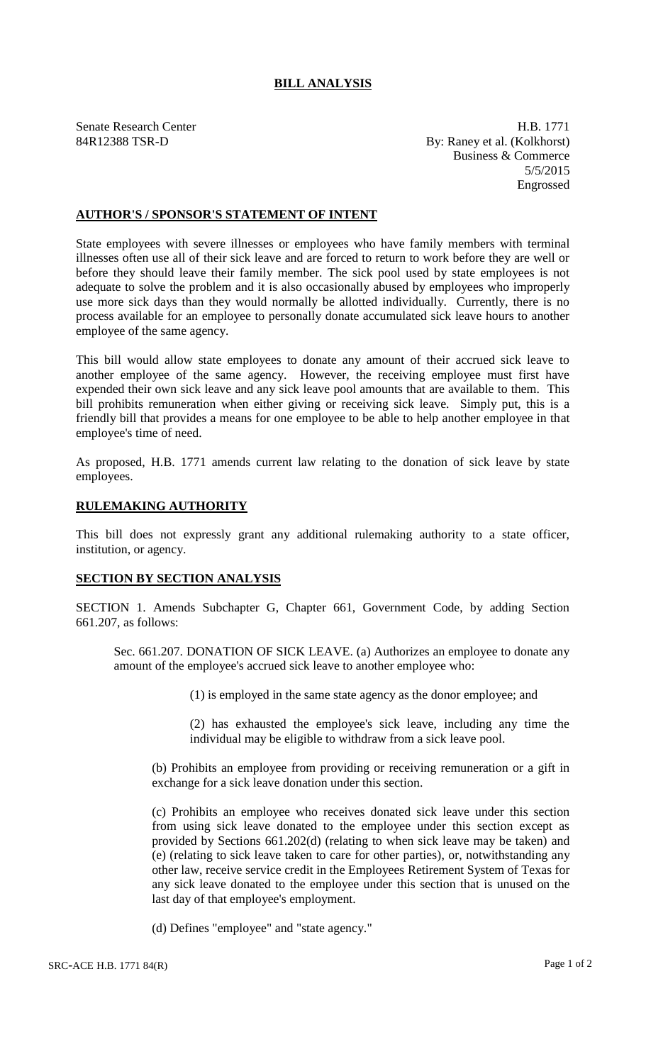## **BILL ANALYSIS**

Senate Research Center **H.B. 1771** 84R12388 TSR-D By: Raney et al. (Kolkhorst) Business & Commerce 5/5/2015 Engrossed

## **AUTHOR'S / SPONSOR'S STATEMENT OF INTENT**

State employees with severe illnesses or employees who have family members with terminal illnesses often use all of their sick leave and are forced to return to work before they are well or before they should leave their family member. The sick pool used by state employees is not adequate to solve the problem and it is also occasionally abused by employees who improperly use more sick days than they would normally be allotted individually. Currently, there is no process available for an employee to personally donate accumulated sick leave hours to another employee of the same agency.

This bill would allow state employees to donate any amount of their accrued sick leave to another employee of the same agency. However, the receiving employee must first have expended their own sick leave and any sick leave pool amounts that are available to them. This bill prohibits remuneration when either giving or receiving sick leave. Simply put, this is a friendly bill that provides a means for one employee to be able to help another employee in that employee's time of need.

As proposed, H.B. 1771 amends current law relating to the donation of sick leave by state employees.

## **RULEMAKING AUTHORITY**

This bill does not expressly grant any additional rulemaking authority to a state officer, institution, or agency.

## **SECTION BY SECTION ANALYSIS**

SECTION 1. Amends Subchapter G, Chapter 661, Government Code, by adding Section 661.207, as follows:

Sec. 661.207. DONATION OF SICK LEAVE. (a) Authorizes an employee to donate any amount of the employee's accrued sick leave to another employee who:

(1) is employed in the same state agency as the donor employee; and

(2) has exhausted the employee's sick leave, including any time the individual may be eligible to withdraw from a sick leave pool.

(b) Prohibits an employee from providing or receiving remuneration or a gift in exchange for a sick leave donation under this section.

(c) Prohibits an employee who receives donated sick leave under this section from using sick leave donated to the employee under this section except as provided by Sections 661.202(d) (relating to when sick leave may be taken) and (e) (relating to sick leave taken to care for other parties), or, notwithstanding any other law, receive service credit in the Employees Retirement System of Texas for any sick leave donated to the employee under this section that is unused on the last day of that employee's employment.

(d) Defines "employee" and "state agency."